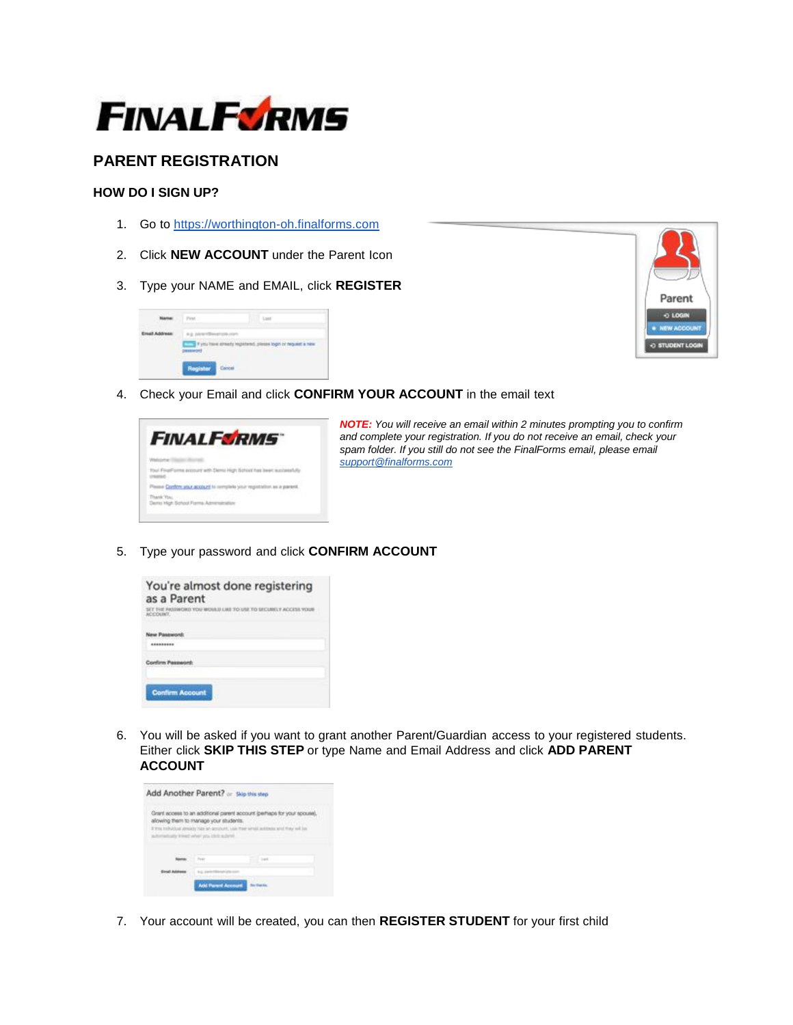

# **PARENT REGISTRATION**

### **HOW DO I SIGN UP?**

- 1. Go to [https://worthington-oh.finalforms.com](https://worthington-oh.finalforms.com/)
- 2. Click **NEW ACCOUNT** under the Parent Icon
- 3. Type your NAME and EMAIL, click **REGISTER**





4. Check your Email and click **CONFIRM YOUR ACCOUNT** in the email text

| <b>FINALFSRMS</b>                                                      |
|------------------------------------------------------------------------|
|                                                                        |
| Your FinalPointe account with Dente High School has been successfully  |
| Please Confirm your account to complete your registration as a parent. |
| Demo High School Forms Administration                                  |

*NOTE: You will receive an email within 2 minutes prompting you to confirm and complete your registration. If you do not receive an email, check your spam folder. If you still do not see the FinalForms email, please email [support@finalforms.com](mailto:support@finalforms.com)*

5. Type your password and click **CONFIRM ACCOUNT**



6. You will be asked if you want to grant another Parent/Guardian access to your registered students. Either click **SKIP THIS STEP** or type Name and Email Address and click **ADD PARENT ACCOUNT**



7. Your account will be created, you can then **REGISTER STUDENT** for your first child